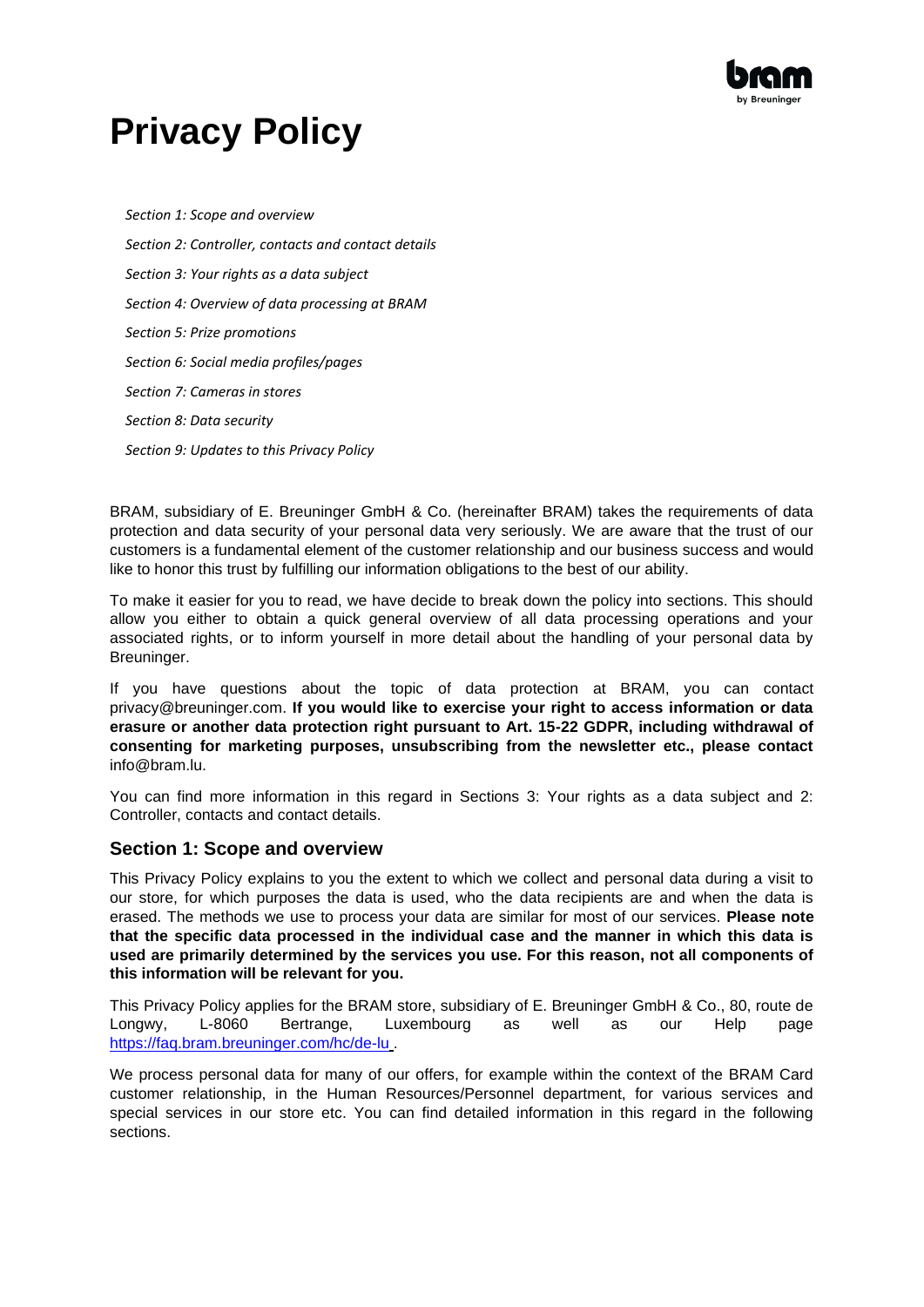

# **Privacy Policy**

*[Section 1: Scope and overview](#page-0-0) [Section 2: Controller, contacts and contact details](#page-1-0) [Section 3: Your rights as a data subject](#page-1-1) [Section 4: Overview of data processing at BRAM](#page-2-0) [Section 5: Prize promotions](#page-8-0) [Section 6: Social media profiles/pages](#page-8-1) [Section 7: Cameras in stores](#page-9-0) [Section 8: Data security](#page-10-0) [Section 9: Updates to this Privacy Policy](#page-10-1)*

BRAM, subsidiary of E. Breuninger GmbH & Co. (hereinafter BRAM) takes the requirements of data protection and data security of your personal data very seriously. We are aware that the trust of our customers is a fundamental element of the customer relationship and our business success and would like to honor this trust by fulfilling our information obligations to the best of our ability.

To make it easier for you to read, we have decide to break down the policy into sections. This should allow you either to obtain a quick general overview of all data processing operations and your associated rights, or to inform yourself in more detail about the handling of your personal data by Breuninger.

If you have questions about the topic of data protection at BRAM, you can contac[t](mailto:privacy@breuninger.com) [privacy@breuninger.com.](mailto:privacy@breuninger.com) **If you would like to exercise your right to access information or data erasure or another data protection right pursuant to Art. 15-22 GDPR, including withdrawal of consenting for marketing purposes, unsubscribing from the newsletter etc., please contact**  [info@bram.lu.](mailto:info@bram.lu)

You can find more information in this regard in Sections 3: Your rights as a data subject and 2: Controller, contacts and contact details.

# <span id="page-0-0"></span>**Section 1: Scope and overview**

This Privacy Policy explains to you the extent to which we collect and personal data during a visit to our store, for which purposes the data is used, who the data recipients are and when the data is erased. The methods we use to process your data are similar for most of our services. **Please note that the specific data processed in the individual case and the manner in which this data is used are primarily determined by the services you use. For this reason, not all components of this information will be relevant for you.**

This Privacy Policy applies for the BRAM store, subsidiary of E. Breuninger GmbH & Co., 80, route de Longwy, L-8060 Bertrange, Luxembourg as well as our Help page <https://faq.bram.breuninger.com/hc/de-lu> .

We process personal data for many of our offers, for example within the context of the BRAM Card customer relationship, in the Human Resources/Personnel department, for various services and special services in our store etc. You can find detailed information in this regard in the following sections.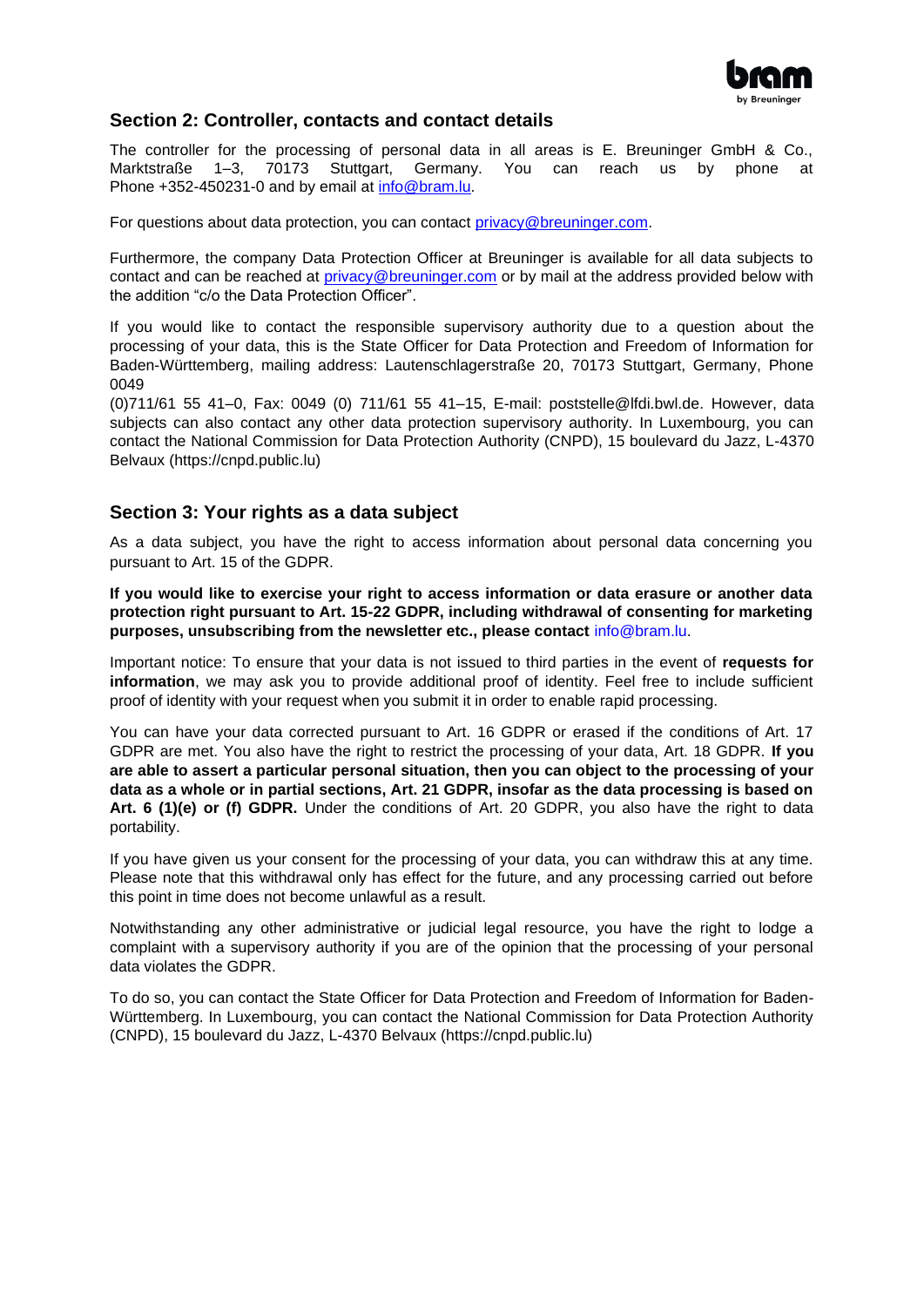

# <span id="page-1-0"></span>**Section 2: Controller, contacts and contact details**

The controller for the processing of personal data in all areas is E. Breuninger GmbH & Co.,<br>Marktstraße 1–3, 70173 Stuttgart, Germany. You can reach us by phone at Marktstraße 1–3, 70173 Stuttgart, Germany. You can reach us by phone at Phone +352-450231-0 and by email at [info@bram.lu.](mailto:info@bram.lu)

For questions about data protection, you can contact [privacy@breuninger.com.](mailto:privacy@breuninger.com)

Furthermore, the company Data Protection Officer at Breuninger is available for all data subjects to contact and can be reached at [privacy@breuninger.com](mailto:privacy@breuninger.com) or by mail at the address provided below with the addition "c/o the Data Protection Officer".

If you would like to contact the responsible supervisory authority due to a question about the processing of your data, this is the State Officer for Data Protection and Freedom of Information for Baden-Württemberg, mailing address: Lautenschlagerstraße 20, 70173 Stuttgart, Germany, Phone 0049

(0)711/61 55 41–0, Fax: 0049 (0) 711/61 55 41–15, E-mail: [poststelle@lfdi.bwl.de.](mailto:poststelle@lfdi.bwl.de) However, data subjects can also contact any other data protection supervisory authority. In Luxembourg, you can contact the National Commission for Data Protection Authority (CNPD), 15 boulevard du Jazz, L-4370 Belvaux (https://cnpd.public.lu)

# <span id="page-1-1"></span>**Section 3: Your rights as a data subject**

As a data subject, you have the right to access information about personal data concerning you pursuant to Art. 15 of the GDPR.

**If you would like to exercise your right to access information or data erasure or another data protection right pursuant to Art. 15-22 GDPR, including withdrawal of consenting for marketing purposes, unsubscribing from the newsletter etc., please contact** [info@bram.lu.](mailto:info@bram.lu)

Important notice: To ensure that your data is not issued to third parties in the event of **requests for information**, we may ask you to provide additional proof of identity. Feel free to include sufficient proof of identity with your request when you submit it in order to enable rapid processing.

You can have your data corrected pursuant to Art. 16 GDPR or erased if the conditions of Art. 17 GDPR are met. You also have the right to restrict the processing of your data, Art. 18 GDPR. **If you are able to assert a particular personal situation, then you can object to the processing of your data as a whole or in partial sections, Art. 21 GDPR, insofar as the data processing is based on Art. 6 (1)(e) or (f) GDPR.** Under the conditions of Art. 20 GDPR, you also have the right to data portability.

If you have given us your consent for the processing of your data, you can withdraw this at any time. Please note that this withdrawal only has effect for the future, and any processing carried out before this point in time does not become unlawful as a result.

Notwithstanding any other administrative or judicial legal resource, you have the right to lodge a complaint with a supervisory authority if you are of the opinion that the processing of your personal data violates the GDPR.

To do so, you can contact the State Officer for Data Protection and Freedom of Information for Baden-Württemberg. In Luxembourg, you can contact the National Commission for Data Protection Authority (CNPD), 15 boulevard du Jazz, L-4370 Belvaux (https://cnpd.public.lu)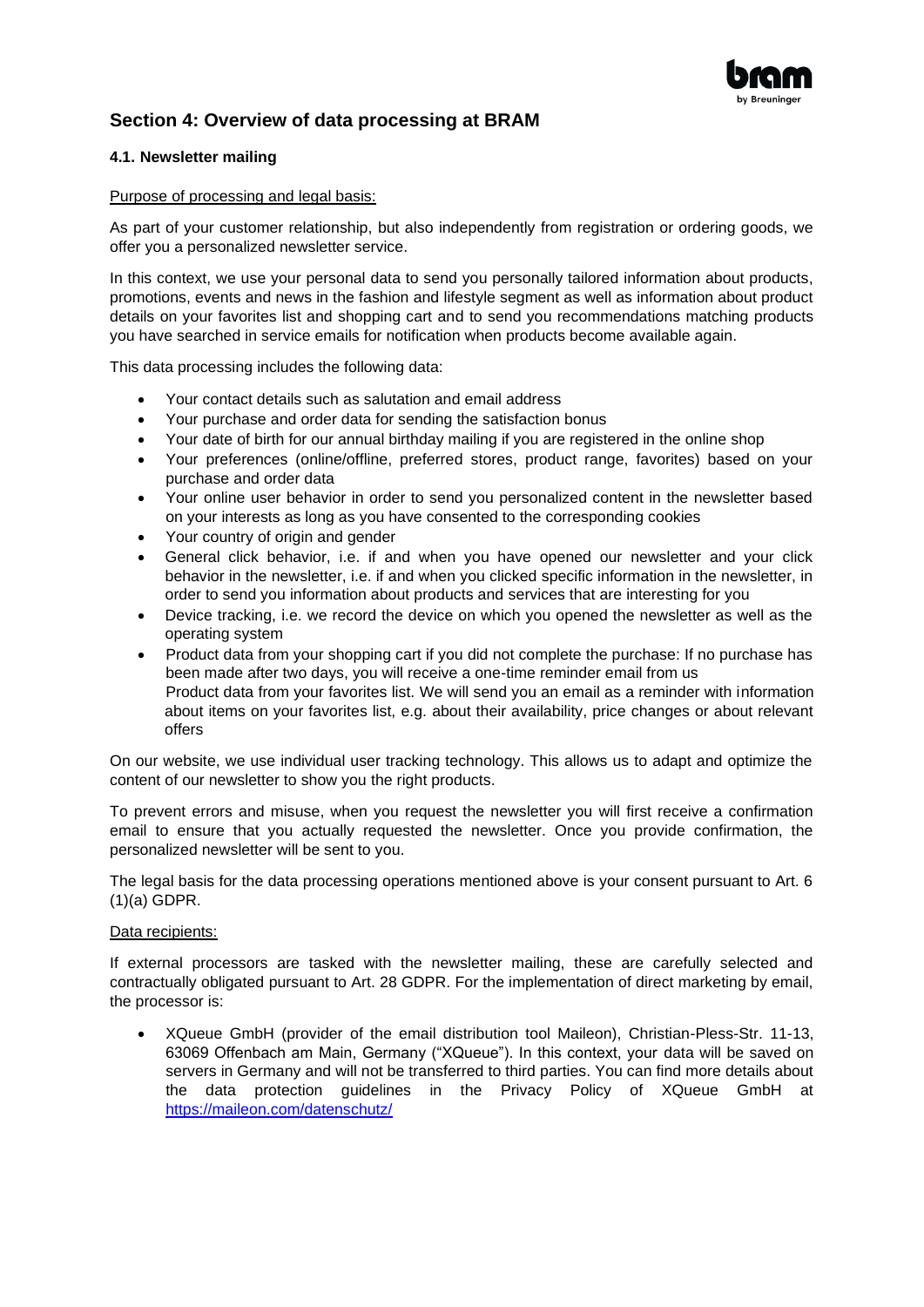

# <span id="page-2-0"></span>**Section 4: Overview of data processing at BRAM**

#### **4.1. Newsletter mailing**

#### Purpose of processing and legal basis:

As part of your customer relationship, but also independently from registration or ordering goods, we offer you a personalized newsletter service.

In this context, we use your personal data to send you personally tailored information about products, promotions, events and news in the fashion and lifestyle segment as well as information about product details on your favorites list and shopping cart and to send you recommendations matching products you have searched in service emails for notification when products become available again.

This data processing includes the following data:

- Your contact details such as salutation and email address
- Your purchase and order data for sending the satisfaction bonus
- Your date of birth for our annual birthday mailing if you are registered in the online shop
- Your preferences (online/offline, preferred stores, product range, favorites) based on your purchase and order data
- Your online user behavior in order to send you personalized content in the newsletter based on your interests as long as you have consented to the corresponding cookies
- Your country of origin and gender
- General click behavior, i.e. if and when you have opened our newsletter and your click behavior in the newsletter, i.e. if and when you clicked specific information in the newsletter, in order to send you information about products and services that are interesting for you
- Device tracking, i.e. we record the device on which you opened the newsletter as well as the operating system
- Product data from your shopping cart if you did not complete the purchase: If no purchase has been made after two days, you will receive a one-time reminder email from us Product data from your favorites list. We will send you an email as a reminder with information about items on your favorites list, e.g. about their availability, price changes or about relevant offers

On our website, we use individual user tracking technology. This allows us to adapt and optimize the content of our newsletter to show you the right products.

To prevent errors and misuse, when you request the newsletter you will first receive a confirmation email to ensure that you actually requested the newsletter. Once you provide confirmation, the personalized newsletter will be sent to you.

The legal basis for the data processing operations mentioned above is your consent pursuant to Art. 6 (1)(a) GDPR.

#### Data recipients:

If external processors are tasked with the newsletter mailing, these are carefully selected and contractually obligated pursuant to Art. 28 GDPR. For the implementation of direct marketing by email, the processor is:

• XQueue GmbH (provider of the email distribution tool Maileon), Christian-Pless-Str. 11-13, 63069 Offenbach am Main, Germany ("XQueue"). In this context, your data will be saved on servers in Germany and will not be transferred to third parties. You can find more details about the data protection guidelines in the Privacy Policy of XQueue GmbH at <https://maileon.com/datenschutz/>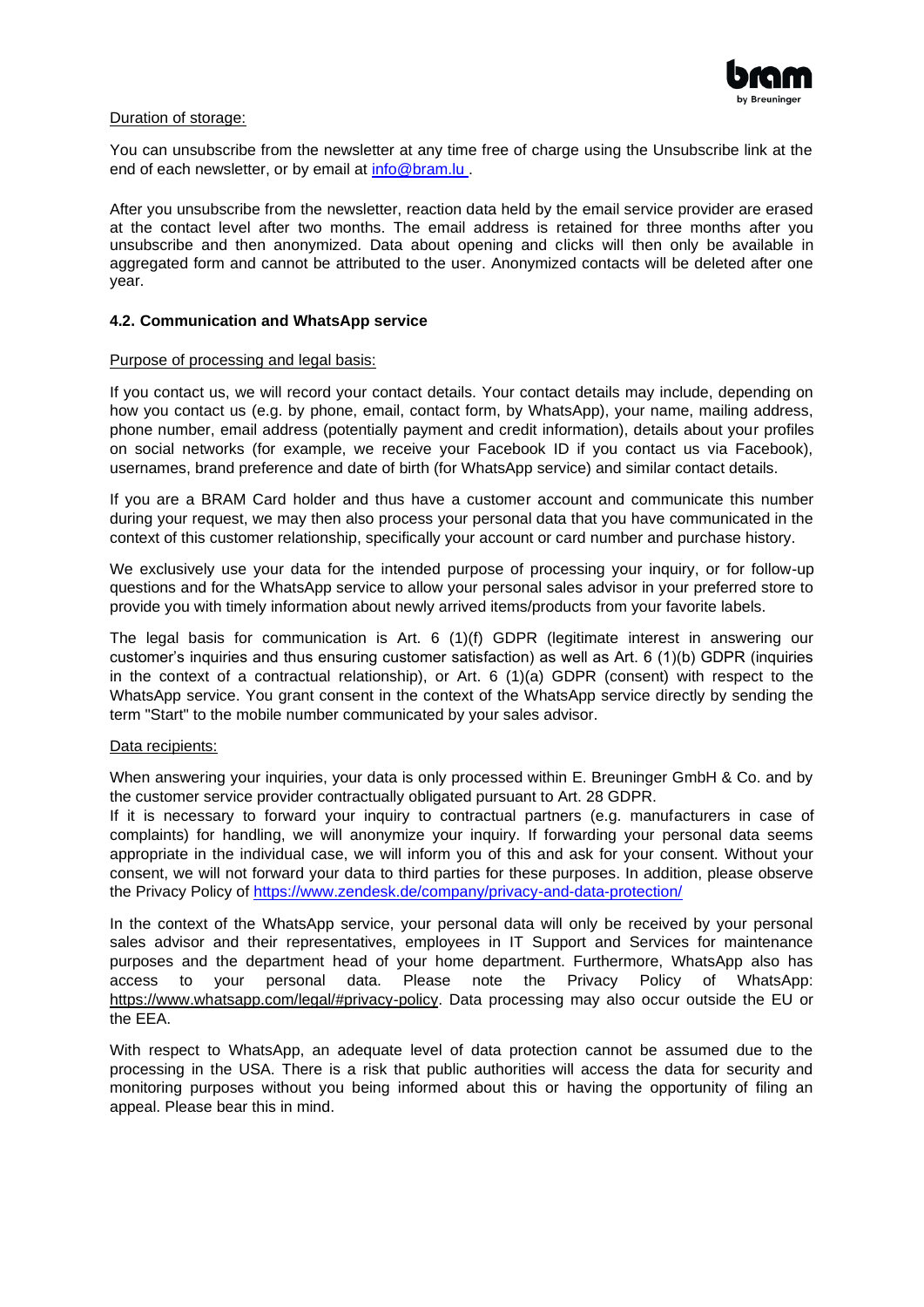

#### Duration of storage:

You can unsubscribe from the newsletter at any time free of charge using the Unsubscribe link at the end of each newsletter, or by email at [info@bram.lu .](mailto:info@bram.lu)

After you unsubscribe from the newsletter, reaction data held by the email service provider are erased at the contact level after two months. The email address is retained for three months after you unsubscribe and then anonymized. Data about opening and clicks will then only be available in aggregated form and cannot be attributed to the user. Anonymized contacts will be deleted after one year.

#### **4.2. Communication and WhatsApp service**

#### Purpose of processing and legal basis:

If you contact us, we will record your contact details. Your contact details may include, depending on how you contact us (e.g. by phone, email, contact form, by WhatsApp), your name, mailing address, phone number, email address (potentially payment and credit information), details about your profiles on social networks (for example, we receive your Facebook ID if you contact us via Facebook), usernames, brand preference and date of birth (for WhatsApp service) and similar contact details.

If you are a BRAM Card holder and thus have a customer account and communicate this number during your request, we may then also process your personal data that you have communicated in the context of this customer relationship, specifically your account or card number and purchase history.

We exclusively use your data for the intended purpose of processing your inquiry, or for follow-up questions and for the WhatsApp service to allow your personal sales advisor in your preferred store to provide you with timely information about newly arrived items/products from your favorite labels.

The legal basis for communication is Art. 6 (1)(f) GDPR (legitimate interest in answering our customer's inquiries and thus ensuring customer satisfaction) as well as Art. 6 (1)(b) GDPR (inquiries in the context of a contractual relationship), or Art. 6 (1)(a) GDPR (consent) with respect to the WhatsApp service. You grant consent in the context of the WhatsApp service directly by sending the term "Start" to the mobile number communicated by your sales advisor.

#### Data recipients:

When answering your inquiries, your data is only processed within E. Breuninger GmbH & Co. and by the customer service provider contractually obligated pursuant to Art. 28 GDPR.

If it is necessary to forward your inquiry to contractual partners (e.g. manufacturers in case of complaints) for handling, we will anonymize your inquiry. If forwarding your personal data seems appropriate in the individual case, we will inform you of this and ask for your consent. Without your consent, we will not forward your data to third parties for these purposes. In addition, please observe the Privacy Policy of<https://www.zendesk.de/company/privacy-and-data-protection/>

In the context of the WhatsApp service, your personal data will only be received by your personal sales advisor and their representatives, employees in IT Support and Services for maintenance purposes and the department head of your home department. Furthermore, WhatsApp also has access to your personal data. Please note the Privacy Policy of WhatsApp: [https://www.whatsapp.com/legal/#privacy-policy.](https://www.whatsapp.com/legal/#privacy-policy) Data processing may also occur outside the EU or the EEA.

With respect to WhatsApp, an adequate level of data protection cannot be assumed due to the processing in the USA. There is a risk that public authorities will access the data for security and monitoring purposes without you being informed about this or having the opportunity of filing an appeal. Please bear this in mind.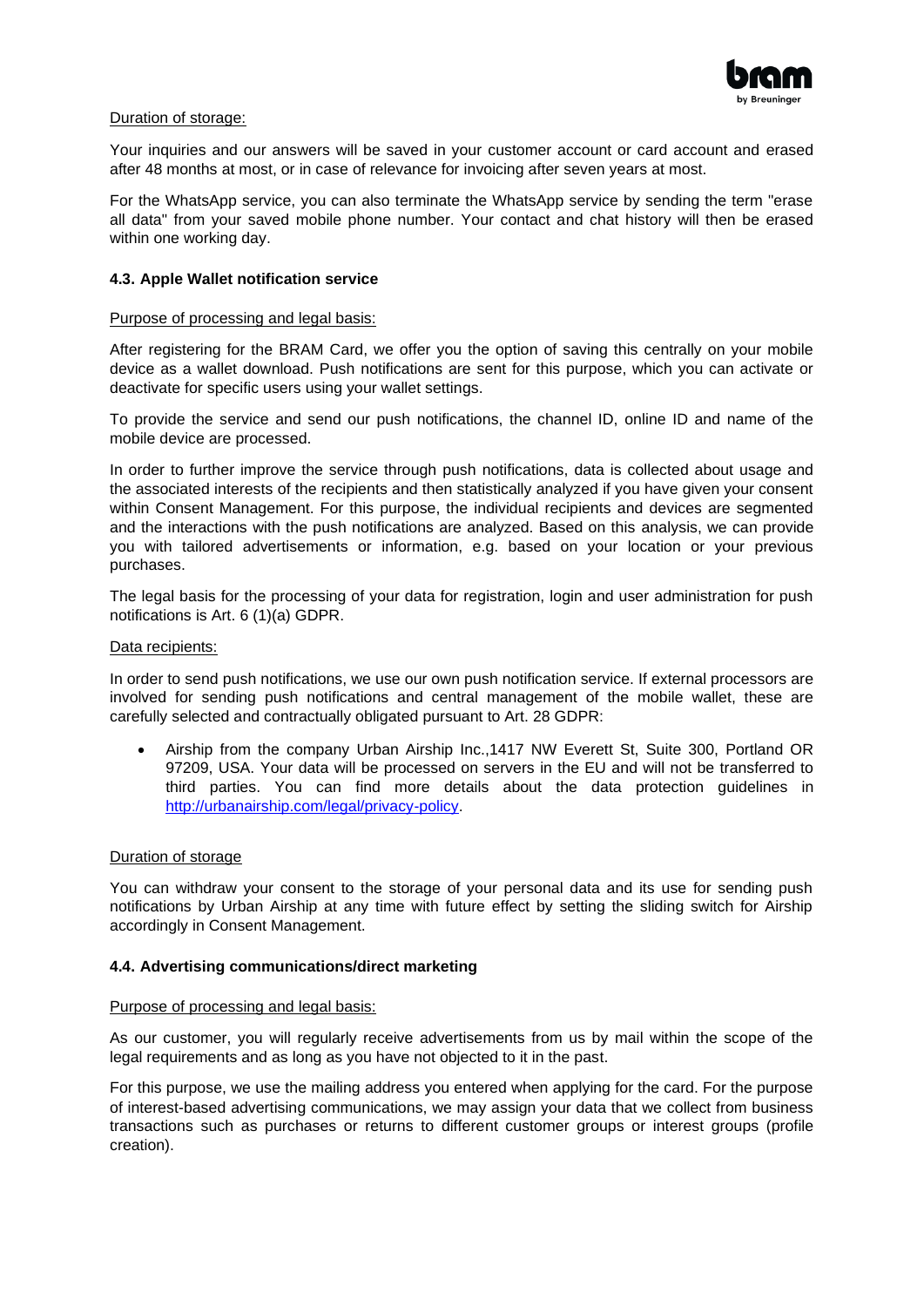

#### Duration of storage:

Your inquiries and our answers will be saved in your customer account or card account and erased after 48 months at most, or in case of relevance for invoicing after seven years at most.

For the WhatsApp service, you can also terminate the WhatsApp service by sending the term "erase all data" from your saved mobile phone number. Your contact and chat history will then be erased within one working day.

#### **4.3. Apple Wallet notification service**

#### Purpose of processing and legal basis:

After registering for the BRAM Card, we offer you the option of saving this centrally on your mobile device as a wallet download. Push notifications are sent for this purpose, which you can activate or deactivate for specific users using your wallet settings.

To provide the service and send our push notifications, the channel ID, online ID and name of the mobile device are processed.

In order to further improve the service through push notifications, data is collected about usage and the associated interests of the recipients and then statistically analyzed if you have given your consent within Consent Management. For this purpose, the individual recipients and devices are segmented and the interactions with the push notifications are analyzed. Based on this analysis, we can provide you with tailored advertisements or information, e.g. based on your location or your previous purchases.

The legal basis for the processing of your data for registration, login and user administration for push notifications is Art. 6 (1)(a) GDPR.

#### Data recipients:

In order to send push notifications, we use our own push notification service. If external processors are involved for sending push notifications and central management of the mobile wallet, these are carefully selected and contractually obligated pursuant to Art. 28 GDPR:

• Airship from the company Urban Airship Inc.,1417 NW Everett St, Suite 300, Portland OR 97209, USA. Your data will be processed on servers in the EU and will not be transferred to third parties. You can find more details about the data protection guidelines in [http://urbanairship.com/legal/privacy-policy.](http://urbanairship.com/legal/privacy-policy)

#### Duration of storage

You can withdraw your consent to the storage of your personal data and its use for sending push notifications by Urban Airship at any time with future effect by setting the sliding switch for Airship accordingly in Consent Management.

#### **4.4. Advertising communications/direct marketing**

#### Purpose of processing and legal basis:

As our customer, you will regularly receive advertisements from us by mail within the scope of the legal requirements and as long as you have not objected to it in the past.

For this purpose, we use the mailing address you entered when applying for the card. For the purpose of interest-based advertising communications, we may assign your data that we collect from business transactions such as purchases or returns to different customer groups or interest groups (profile creation).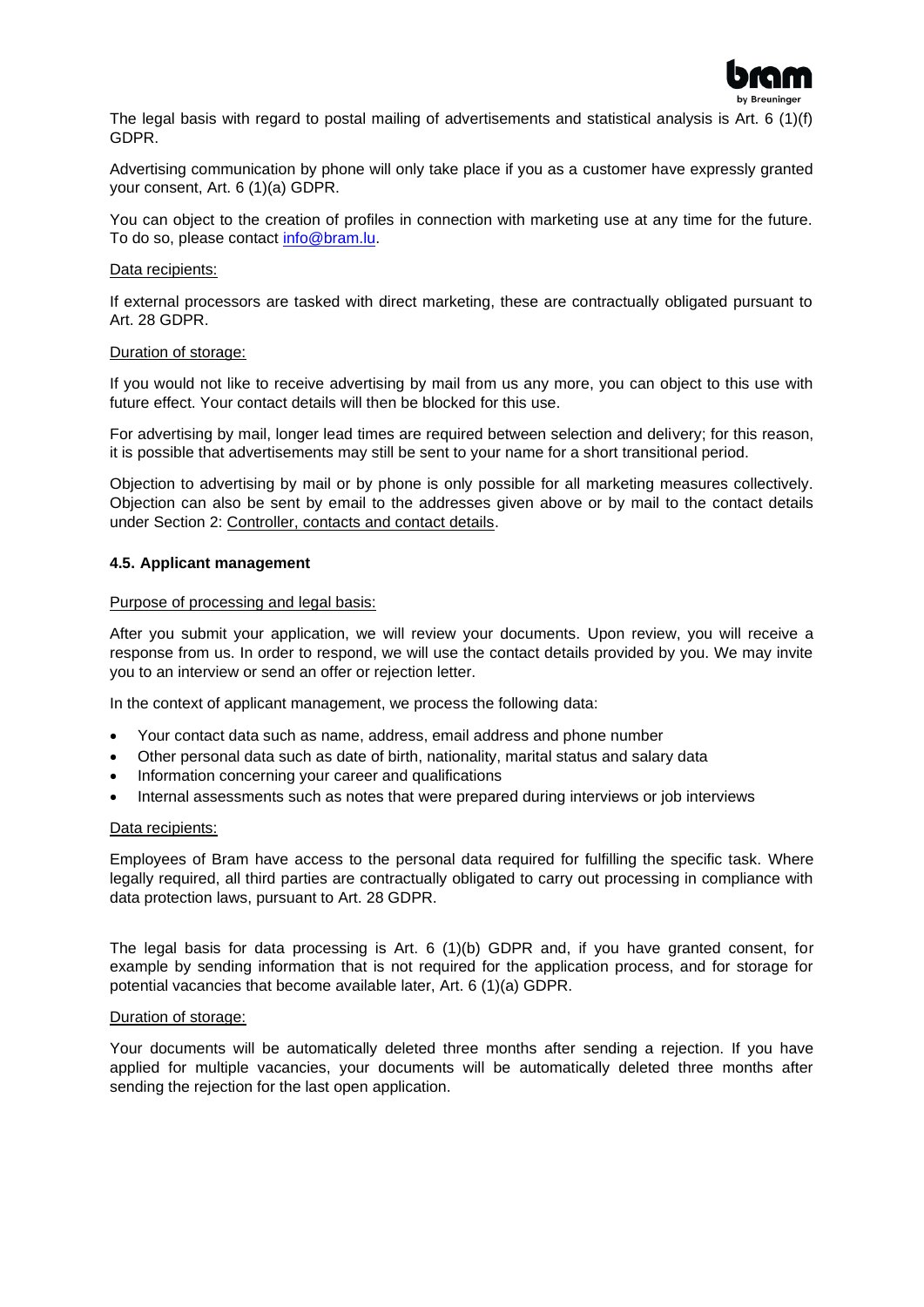

The legal basis with regard to postal mailing of advertisements and statistical analysis is Art. 6 (1)(f) GDPR.

Advertising communication by phone will only take place if you as a customer have expressly granted your consent, Art. 6 (1)(a) GDPR.

You can object to the creation of profiles in connection with marketing use at any time for the future. To do so, please contact [info@bram.lu.](mailto:info@bram.lu)

#### Data recipients:

If external processors are tasked with direct marketing, these are contractually obligated pursuant to Art. 28 GDPR.

#### Duration of storage:

If you would not like to receive advertising by mail from us any more, you can object to this use with future effect. Your contact details will then be blocked for this use.

For advertising by mail, longer lead times are required between selection and delivery; for this reason, it is possible that advertisements may still be sent to your name for a short transitional period.

Objection to advertising by mail or by phone is only possible for all marketing measures collectively. Objection can also be sent by email to the addresses given above or by mail to the contact details under Section 2: Controller, contacts and contact details.

#### **4.5. Applicant management**

#### Purpose of processing and legal basis:

After you submit your application, we will review your documents. Upon review, you will receive a response from us. In order to respond, we will use the contact details provided by you. We may invite you to an interview or send an offer or rejection letter.

In the context of applicant management, we process the following data:

- Your contact data such as name, address, email address and phone number
- Other personal data such as date of birth, nationality, marital status and salary data
- Information concerning your career and qualifications
- Internal assessments such as notes that were prepared during interviews or job interviews

#### Data recipients:

Employees of Bram have access to the personal data required for fulfilling the specific task. Where legally required, all third parties are contractually obligated to carry out processing in compliance with data protection laws, pursuant to Art. 28 GDPR.

The legal basis for data processing is Art. 6 (1)(b) GDPR and, if you have granted consent, for example by sending information that is not required for the application process, and for storage for potential vacancies that become available later, Art. 6 (1)(a) GDPR.

#### Duration of storage:

Your documents will be automatically deleted three months after sending a rejection. If you have applied for multiple vacancies, your documents will be automatically deleted three months after sending the rejection for the last open application.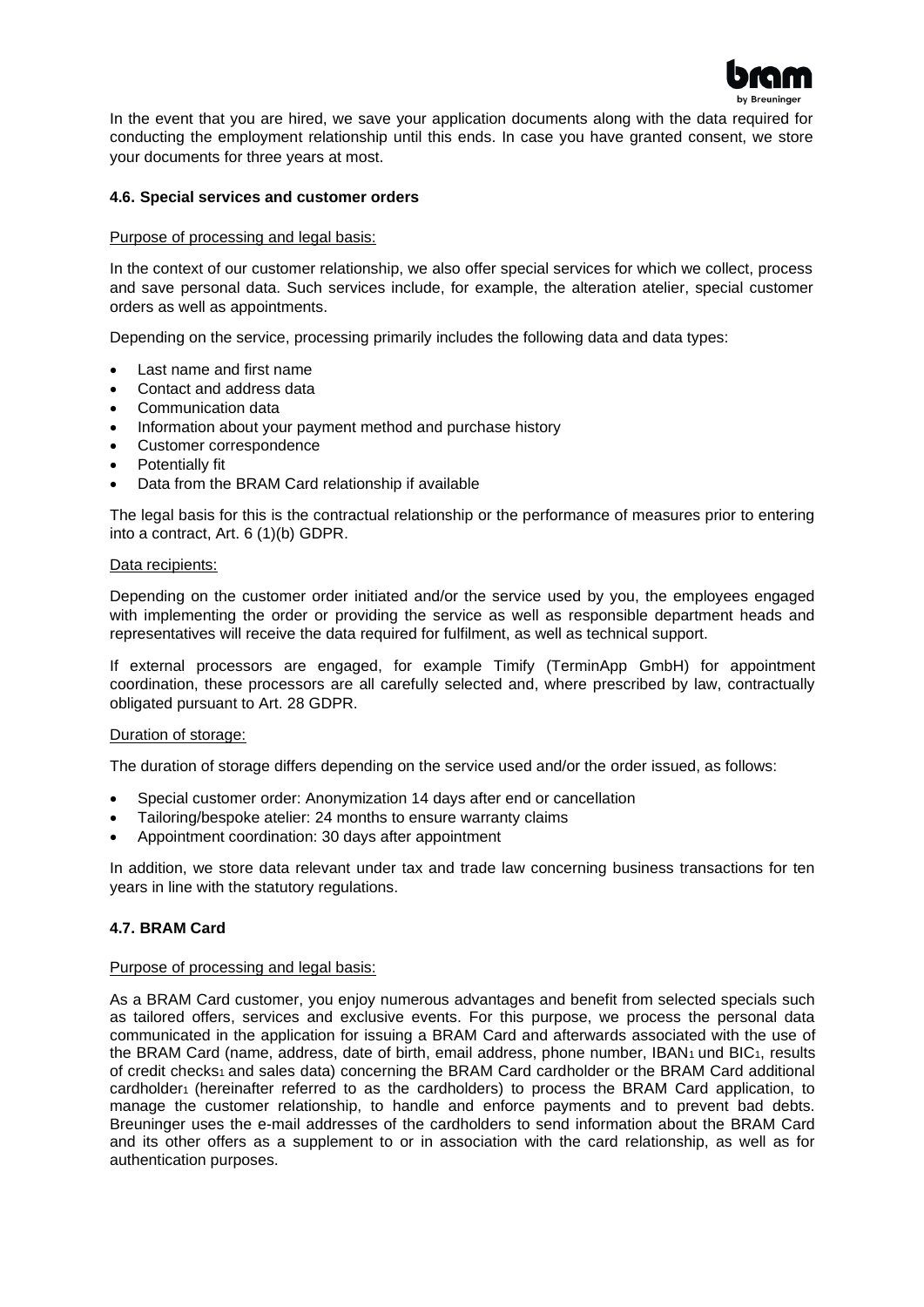

In the event that you are hired, we save your application documents along with the data required for conducting the employment relationship until this ends. In case you have granted consent, we store your documents for three years at most.

#### **4.6. Special services and customer orders**

#### Purpose of processing and legal basis:

In the context of our customer relationship, we also offer special services for which we collect, process and save personal data. Such services include, for example, the alteration atelier, special customer orders as well as appointments.

Depending on the service, processing primarily includes the following data and data types:

- Last name and first name
- Contact and address data
- Communication data
- Information about your payment method and purchase history
- Customer correspondence
- Potentially fit
- Data from the BRAM Card relationship if available

The legal basis for this is the contractual relationship or the performance of measures prior to entering into a contract, Art. 6 (1)(b) GDPR.

#### Data recipients:

Depending on the customer order initiated and/or the service used by you, the employees engaged with implementing the order or providing the service as well as responsible department heads and representatives will receive the data required for fulfilment, as well as technical support.

If external processors are engaged, for example Timify (TerminApp GmbH) for appointment coordination, these processors are all carefully selected and, where prescribed by law, contractually obligated pursuant to Art. 28 GDPR.

#### Duration of storage:

The duration of storage differs depending on the service used and/or the order issued, as follows:

- Special customer order: Anonymization 14 days after end or cancellation
- Tailoring/bespoke atelier: 24 months to ensure warranty claims
- Appointment coordination: 30 days after appointment

In addition, we store data relevant under tax and trade law concerning business transactions for ten years in line with the statutory regulations.

#### **4.7. BRAM Card**

#### Purpose of processing and legal basis:

As a BRAM Card customer, you enjoy numerous advantages and benefit from selected specials such as tailored offers, services and exclusive events. For this purpose, we process the personal data communicated in the application for issuing a BRAM Card and afterwards associated with the use of the BRAM Card (name, address, date of birth, email address, phone number, IBAN<sub>1</sub> und BIC<sub>1</sub>, results of credit checks<sub>1</sub> and sales data) concerning the BRAM Card cardholder or the BRAM Card additional cardholder<sub>1</sub> (hereinafter referred to as the cardholders) to process the BRAM Card application, to manage the customer relationship, to handle and enforce payments and to prevent bad debts. Breuninger uses the e-mail addresses of the cardholders to send information about the BRAM Card and its other offers as a supplement to or in association with the card relationship, as well as for authentication purposes.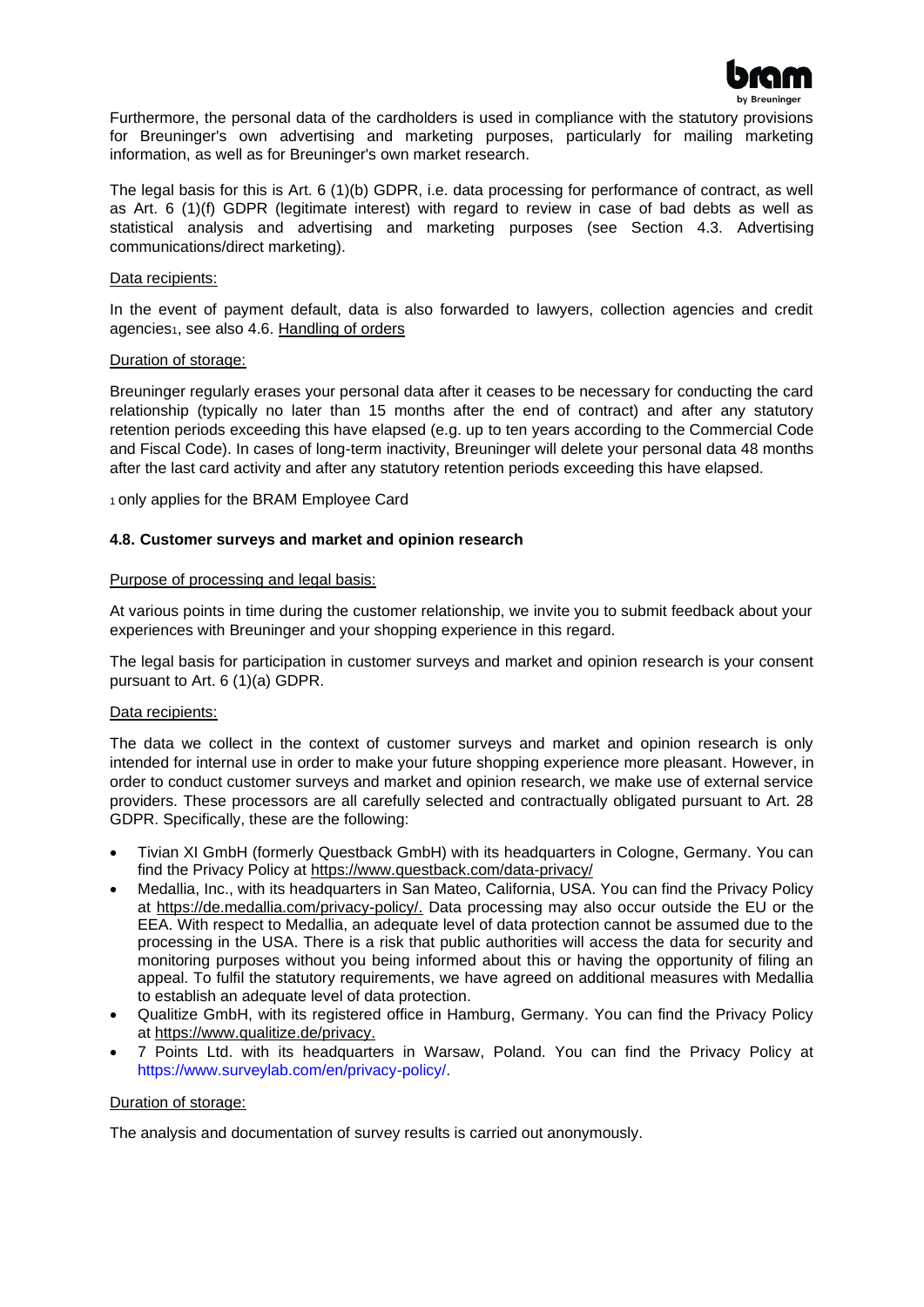

Furthermore, the personal data of the cardholders is used in compliance with the statutory provisions for Breuninger's own advertising and marketing purposes, particularly for mailing marketing information, as well as for Breuninger's own market research.

The legal basis for this is Art. 6 (1)(b) GDPR, i.e. data processing for performance of contract, as well as Art. 6 (1)(f) GDPR (legitimate interest) with regard to review in case of bad debts as well as statistical analysis and advertising and marketing purposes (see Section 4.3. Advertising communications/direct marketing).

#### Data recipients:

In the event of payment default, data is also forwarded to lawyers, collection agencies and credit agencies<sub>1</sub>, see also 4.6. Handling of orders

#### Duration of storage:

Breuninger regularly erases your personal data after it ceases to be necessary for conducting the card relationship (typically no later than 15 months after the end of contract) and after any statutory retention periods exceeding this have elapsed (e.g. up to ten years according to the Commercial Code and Fiscal Code). In cases of long-term inactivity, Breuninger will delete your personal data 48 months after the last card activity and after any statutory retention periods exceeding this have elapsed.

1 only applies for the BRAM Employee Card

#### **4.8. Customer surveys and market and opinion research**

#### Purpose of processing and legal basis:

At various points in time during the customer relationship, we invite you to submit feedback about your experiences with Breuninger and your shopping experience in this regard.

The legal basis for participation in customer surveys and market and opinion research is your consent pursuant to Art. 6 (1)(a) GDPR.

#### Data recipients:

The data we collect in the context of customer surveys and market and opinion research is only intended for internal use in order to make your future shopping experience more pleasant. However, in order to conduct customer surveys and market and opinion research, we make use of external service providers. These processors are all carefully selected and contractually obligated pursuant to Art. 28 GDPR. Specifically, these are the following:

- Tivian XI GmbH (formerly Questback GmbH) with its headquarters in Cologne, Germany. You can find the Privacy Policy at<https://www.questback.com/data-privacy/>
- Medallia, Inc., with its headquarters in San Mateo, California, USA. You can find the Privacy Policy at [https://de.medallia.com/privacy-policy/.](https://de.medallia.com/privacy-policy/) Data processing may also occur outside the EU or the EEA. With respect to Medallia, an adequate level of data protection cannot be assumed due to the processing in the USA. There is a risk that public authorities will access the data for security and monitoring purposes without you being informed about this or having the opportunity of filing an appeal. To fulfil the statutory requirements, we have agreed on additional measures with Medallia to establish an adequate level of data protection.
- Qualitize GmbH, with its registered office in Hamburg, Germany. You can find the Privacy Policy at [https://www.qualitize.de/privacy.](https://www.qualitize.de/privacy)
- 7 Points Ltd. with its headquarters in Warsaw, Poland. You can find the Privacy Policy at [https://www.surveylab.com/en/privacy-policy/.](https://www.surveylab.com/en/privacy-policy/)

#### Duration of storage:

The analysis and documentation of survey results is carried out anonymously.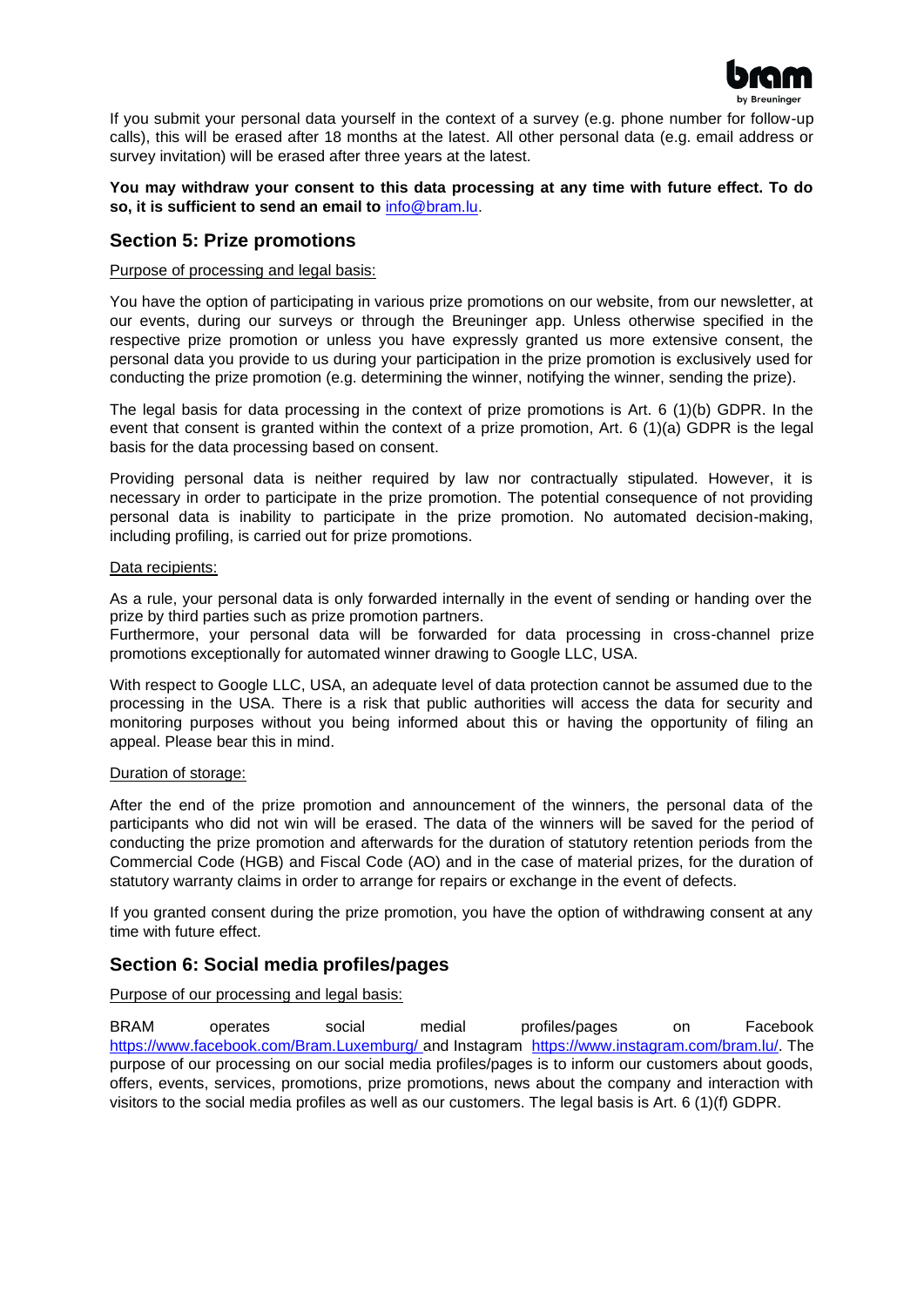

If you submit your personal data yourself in the context of a survey (e.g. phone number for follow-up calls), this will be erased after 18 months at the latest. All other personal data (e.g. email address or survey invitation) will be erased after three years at the latest.

**You may withdraw your consent to this data processing at any time with future effect. To do so, it is sufficient to send an email to** [info@bram.lu.](mailto:info@bram.lu)

#### <span id="page-8-0"></span>**Section 5: Prize promotions**

#### Purpose of processing and legal basis:

You have the option of participating in various prize promotions on our website, from our newsletter, at our events, during our surveys or through the Breuninger app. Unless otherwise specified in the respective prize promotion or unless you have expressly granted us more extensive consent, the personal data you provide to us during your participation in the prize promotion is exclusively used for conducting the prize promotion (e.g. determining the winner, notifying the winner, sending the prize).

The legal basis for data processing in the context of prize promotions is Art. 6 (1)(b) GDPR. In the event that consent is granted within the context of a prize promotion, Art. 6 (1)(a) GDPR is the legal basis for the data processing based on consent.

Providing personal data is neither required by law nor contractually stipulated. However, it is necessary in order to participate in the prize promotion. The potential consequence of not providing personal data is inability to participate in the prize promotion. No automated decision-making, including profiling, is carried out for prize promotions.

#### Data recipients:

As a rule, your personal data is only forwarded internally in the event of sending or handing over the prize by third parties such as prize promotion partners.

Furthermore, your personal data will be forwarded for data processing in cross-channel prize promotions exceptionally for automated winner drawing to Google LLC, USA.

With respect to Google LLC, USA, an adequate level of data protection cannot be assumed due to the processing in the USA. There is a risk that public authorities will access the data for security and monitoring purposes without you being informed about this or having the opportunity of filing an appeal. Please bear this in mind.

#### Duration of storage:

After the end of the prize promotion and announcement of the winners, the personal data of the participants who did not win will be erased. The data of the winners will be saved for the period of conducting the prize promotion and afterwards for the duration of statutory retention periods from the Commercial Code (HGB) and Fiscal Code (AO) and in the case of material prizes, for the duration of statutory warranty claims in order to arrange for repairs or exchange in the event of defects.

If you granted consent during the prize promotion, you have the option of withdrawing consent at any time with future effect.

# <span id="page-8-1"></span>**Section 6: Social media profiles/pages**

Purpose of our processing and legal basis:

BRAM operates social medial profiles/pages on Facebook [https://www.facebook.com/Bram.Luxemburg/ a](https://www.facebook.com/Bram.Luxemburg/)nd Instagram [https://www.instagram.com/bram.lu/.](https://www.instagram.com/bram.lu/) The purpose of our processing on our social media profiles/pages is to inform our customers about goods, offers, events, services, promotions, prize promotions, news about the company and interaction with visitors to the social media profiles as well as our customers. The legal basis is Art. 6 (1)(f) GDPR.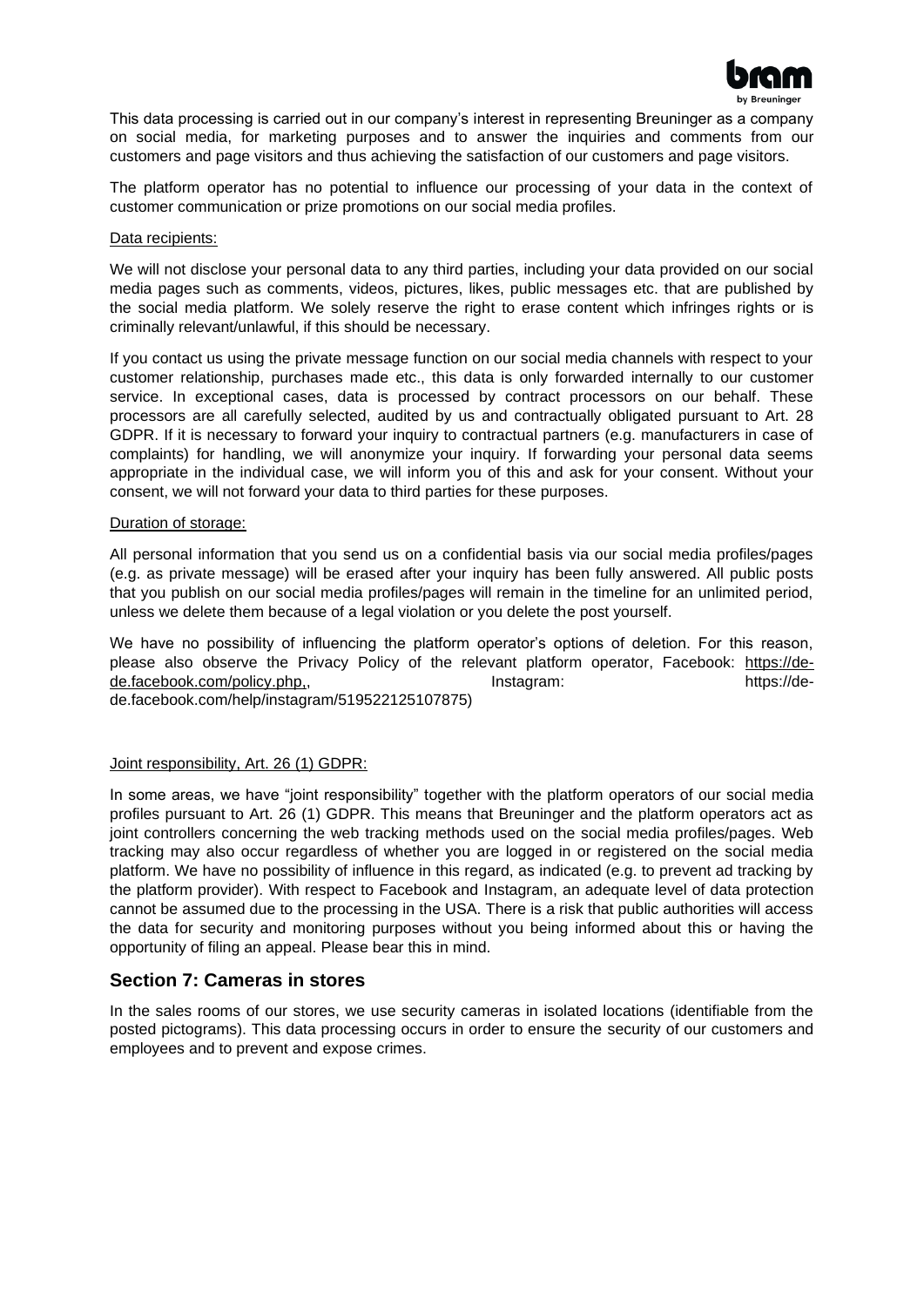

This data processing is carried out in our company's interest in representing Breuninger as a company on social media, for marketing purposes and to answer the inquiries and comments from our customers and page visitors and thus achieving the satisfaction of our customers and page visitors.

The platform operator has no potential to influence our processing of your data in the context of customer communication or prize promotions on our social media profiles.

#### Data recipients:

We will not disclose your personal data to any third parties, including your data provided on our social media pages such as comments, videos, pictures, likes, public messages etc. that are published by the social media platform. We solely reserve the right to erase content which infringes rights or is criminally relevant/unlawful, if this should be necessary.

If you contact us using the private message function on our social media channels with respect to your customer relationship, purchases made etc., this data is only forwarded internally to our customer service. In exceptional cases, data is processed by contract processors on our behalf. These processors are all carefully selected, audited by us and contractually obligated pursuant to Art. 28 GDPR. If it is necessary to forward your inquiry to contractual partners (e.g. manufacturers in case of complaints) for handling, we will anonymize your inquiry. If forwarding your personal data seems appropriate in the individual case, we will inform you of this and ask for your consent. Without your consent, we will not forward your data to third parties for these purposes.

#### Duration of storage:

All personal information that you send us on a confidential basis via our social media profiles/pages (e.g. as private message) will be erased after your inquiry has been fully answered. All public posts that you publish on our social media profiles/pages will remain in the timeline for an unlimited period, unless we delete them because of a legal violation or you delete the post yourself.

We have no possibility of influencing the platform operator's options of deletion. For this reason, please also observe the Privacy Policy of the relevant platform operator, Facebook: [https://de](https://de-de.facebook.com/policy.php)[de.facebook.com/policy.php,,](https://de-de.facebook.com/policy.php)  $\blacksquare$  Instagram: https://dede.facebook.com/help/instagram/519522125107875)

# Joint responsibility, Art. 26 (1) GDPR:

In some areas, we have "joint responsibility" together with the platform operators of our social media profiles pursuant to Art. 26 (1) GDPR. This means that Breuninger and the platform operators act as joint controllers concerning the web tracking methods used on the social media profiles/pages. Web tracking may also occur regardless of whether you are logged in or registered on the social media platform. We have no possibility of influence in this regard, as indicated (e.g. to prevent ad tracking by the platform provider). With respect to Facebook and Instagram, an adequate level of data protection cannot be assumed due to the processing in the USA. There is a risk that public authorities will access the data for security and monitoring purposes without you being informed about this or having the opportunity of filing an appeal. Please bear this in mind.

#### <span id="page-9-0"></span>**Section 7: Cameras in stores**

In the sales rooms of our stores, we use security cameras in isolated locations (identifiable from the posted pictograms). This data processing occurs in order to ensure the security of our customers and employees and to prevent and expose crimes.